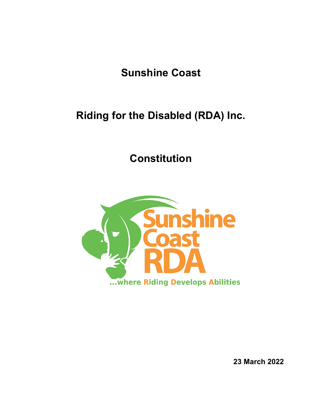**Sunshine Coast**

# **Riding for the Disabled (RDA) Inc.**

**Constitution**



**23 March 2022**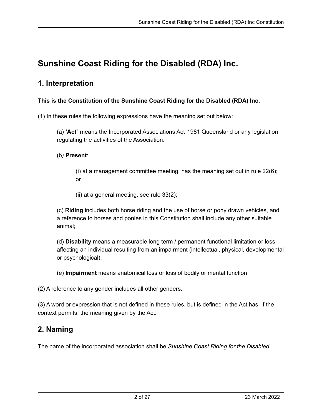# **Sunshine Coast Riding for the Disabled (RDA) Inc.**

### **1. Interpretation**

#### **This is the Constitution of the Sunshine Coast Riding for the Disabled (RDA) Inc.**

(1) In these rules the following expressions have the meaning set out below:

(a) **'Act**" means the Incorporated Associations Act 1981 Queensland or any legislation regulating the activities of the Association.

#### (b*)* **Present**:

(i) at a management committee meeting, has the meaning set out in rule 22(6); or

(ii) at a general meeting, see rule 33(2);

(c) **Riding** includes both horse riding and the use of horse or pony drawn vehicles, and a reference to horses and ponies in this Constitution shall include any other suitable animal;

(d) **Disability** means a measurable long term / permanent functional limitation or loss affecting an individual resulting from an impairment (intellectual, physical, developmental or psychological).

(e) **Impairment** means anatomical loss or loss of bodily or mental function

(2) A reference to any gender includes all other genders.

(3) A word or expression that is not defined in these rules, but is defined in the Act has, if the context permits, the meaning given by the Act.

# **2. Naming**

The name of the incorporated association shall be *Sunshine Coast Riding for the Disabled*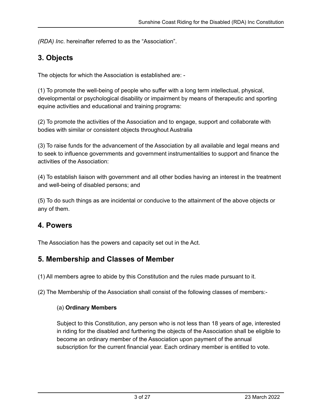*(RDA) Inc*. hereinafter referred to as the "Association".

### **3. Objects**

The objects for which the Association is established are: -

(1) To promote the well-being of people who suffer with a long term intellectual, physical, developmental or psychological disability or impairment by means of therapeutic and sporting equine activities and educational and training programs:

(2) To promote the activities of the Association and to engage, support and collaborate with bodies with similar or consistent objects throughout Australia

(3) To raise funds for the advancement of the Association by all available and legal means and to seek to influence governments and government instrumentalities to support and finance the activities of the Association:

(4) To establish liaison with government and all other bodies having an interest in the treatment and well-being of disabled persons; and

(5) To do such things as are incidental or conducive to the attainment of the above objects or any of them.

### **4. Powers**

The Association has the powers and capacity set out in the Act.

### **5. Membership and Classes of Member**

(1) All members agree to abide by this Constitution and the rules made pursuant to it.

(2) The Membership of the Association shall consist of the following classes of members:-

#### (a) **Ordinary Members**

Subject to this Constitution, any person who is not less than 18 years of age, interested in riding for the disabled and furthering the objects of the Association shall be eligible to become an ordinary member of the Association upon payment of the annual subscription for the current financial year. Each ordinary member is entitled to vote.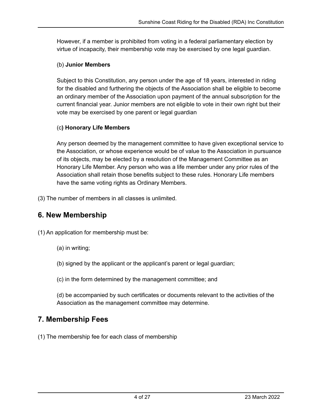However, if a member is prohibited from voting in a federal parliamentary election by virtue of incapacity, their membership vote may be exercised by one legal guardian.

#### (b) **Junior Members**

Subject to this Constitution, any person under the age of 18 years, interested in riding for the disabled and furthering the objects of the Association shall be eligible to become an ordinary member of the Association upon payment of the annual subscription for the current financial year. Junior members are not eligible to vote in their own right but their vote may be exercised by one parent or legal guardian

#### (c**) Honorary Life Members**

Any person deemed by the management committee to have given exceptional service to the Association, or whose experience would be of value to the Association in pursuance of its objects, may be elected by a resolution of the Management Committee as an Honorary Life Member. Any person who was a life member under any prior rules of the Association shall retain those benefits subject to these rules. Honorary Life members have the same voting rights as Ordinary Members.

(3) The number of members in all classes is unlimited.

### **6. New Membership**

(1) An application for membership must be:

- (a) in writing;
- (b) signed by the applicant or the applicant's parent or legal guardian;
- (c) in the form determined by the management committee; and

(d) be accompanied by such certificates or documents relevant to the activities of the Association as the management committee may determine.

### **7. Membership Fees**

(1) The membership fee for each class of membership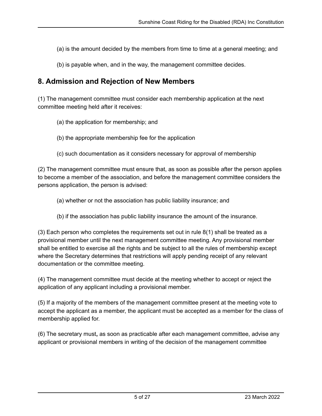- (a) is the amount decided by the members from time to time at a general meeting; and
- (b) is payable when, and in the way, the management committee decides.

### **8. Admission and Rejection of New Members**

(1) The management committee must consider each membership application at the next committee meeting held after it receives:

- (a) the application for membership; and
- (b) the appropriate membership fee for the application
- (c) such documentation as it considers necessary for approval of membership

(2) The management committee must ensure that, as soon as possible after the person applies to become a member of the association, and before the management committee considers the persons application, the person is advised:

- (a) whether or not the association has public liability insurance; and
- (b) if the association has public liability insurance the amount of the insurance.

(3) Each person who completes the requirements set out in rule 8(1) shall be treated as a provisional member until the next management committee meeting. Any provisional member shall be entitled to exercise all the rights and be subject to all the rules of membership except where the Secretary determines that restrictions will apply pending receipt of any relevant documentation or the committee meeting.

(4) The management committee must decide at the meeting whether to accept or reject the application of any applicant including a provisional member.

(5) If a majority of the members of the management committee present at the meeting vote to accept the applicant as a member, the applicant must be accepted as a member for the class of membership applied for.

(6) The secretary must**,** as soon as practicable after each management committee, advise any applicant or provisional members in writing of the decision of the management committee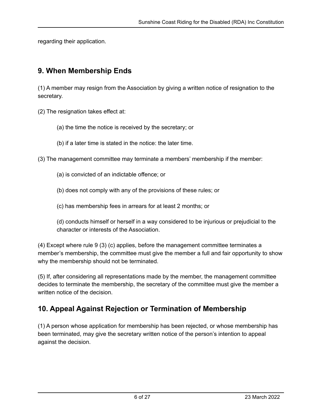regarding their application.

### **9. When Membership Ends**

(1) A member may resign from the Association by giving a written notice of resignation to the secretary.

(2) The resignation takes effect at:

- (a) the time the notice is received by the secretary; or
- (b) if a later time is stated in the notice: the later time.

(3) The management committee may terminate a members' membership if the member:

- (a) is convicted of an indictable offence; or
- (b) does not comply with any of the provisions of these rules; or
- (c) has membership fees in arrears for at least 2 months; or

(d) conducts himself or herself in a way considered to be injurious or prejudicial to the character or interests of the Association.

(4) Except where rule 9 (3) (c) applies, before the management committee terminates a member's membership, the committee must give the member a full and fair opportunity to show why the membership should not be terminated.

(5) If, after considering all representations made by the member, the management committee decides to terminate the membership, the secretary of the committee must give the member a written notice of the decision.

# **10. Appeal Against Rejection or Termination of Membership**

(1) A person whose application for membership has been rejected, or whose membership has been terminated, may give the secretary written notice of the person's intention to appeal against the decision.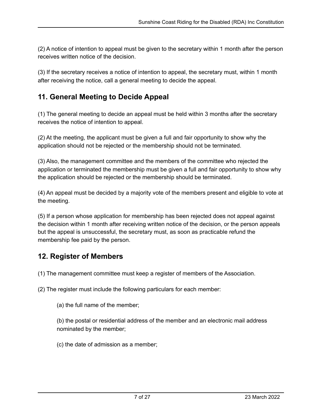(2) A notice of intention to appeal must be given to the secretary within 1 month after the person receives written notice of the decision.

(3) If the secretary receives a notice of intention to appeal, the secretary must, within 1 month after receiving the notice, call a general meeting to decide the appeal.

## **11. General Meeting to Decide Appeal**

(1) The general meeting to decide an appeal must be held within 3 months after the secretary receives the notice of intention to appeal.

(2) At the meeting, the applicant must be given a full and fair opportunity to show why the application should not be rejected or the membership should not be terminated.

(3) Also, the management committee and the members of the committee who rejected the application or terminated the membership must be given a full and fair opportunity to show why the application should be rejected or the membership should be terminated.

(4) An appeal must be decided by a majority vote of the members present and eligible to vote at the meeting.

(5) If a person whose application for membership has been rejected does not appeal against the decision within 1 month after receiving written notice of the decision, or the person appeals but the appeal is unsuccessful, the secretary must, as soon as practicable refund the membership fee paid by the person.

# **12. Register of Members**

(1) The management committee must keep a register of members of the Association.

(2) The register must include the following particulars for each member:

(a) the full name of the member;

(b) the postal or residential address of the member and an electronic mail address nominated by the member;

(c) the date of admission as a member;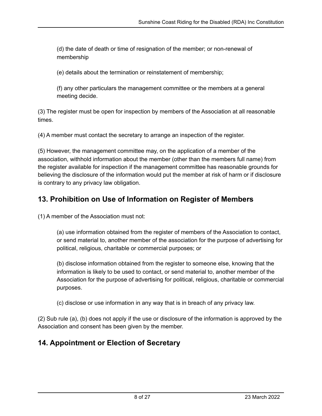(d) the date of death or time of resignation of the member; or non-renewal of membership

(e) details about the termination or reinstatement of membership;

(f) any other particulars the management committee or the members at a general meeting decide.

(3) The register must be open for inspection by members of the Association at all reasonable times.

(4) A member must contact the secretary to arrange an inspection of the register.

(5) However, the management committee may, on the application of a member of the association, withhold information about the member (other than the members full name) from the register available for inspection if the management committee has reasonable grounds for believing the disclosure of the information would put the member at risk of harm or if disclosure is contrary to any privacy law obligation.

## **13. Prohibition on Use of Information on Register of Members**

(1) A member of the Association must not:

(a) use information obtained from the register of members of the Association to contact, or send material to, another member of the association for the purpose of advertising for political, religious, charitable or commercial purposes; or

(b) disclose information obtained from the register to someone else, knowing that the information is likely to be used to contact, or send material to, another member of the Association for the purpose of advertising for political, religious, charitable or commercial purposes.

(c) disclose or use information in any way that is in breach of any privacy law.

(2) Sub rule (a), (b) does not apply if the use or disclosure of the information is approved by the Association and consent has been given by the member.

### **14. Appointment or Election of Secretary**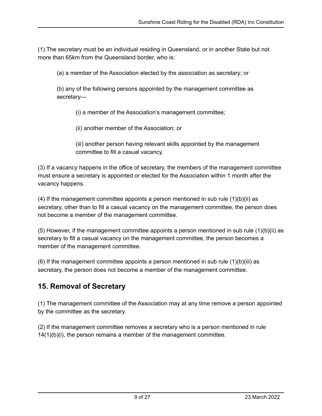(1) The secretary must be an individual residing in Queensland, or in another State but not more than 65km from the Queensland border, who is:

(a) a member of the Association elected by the association as secretary; or

(b) any of the following persons appointed by the management committee as secretary—

(i) a member of the Association's management committee;

(ii) another member of the Association; or

(iii) another person having relevant skills appointed by the management committee to fill a casual vacancy.

(3) If a vacancy happens in the office of secretary, the members of the management committee must ensure a secretary is appointed or elected for the Association within 1 month after the vacancy happens.

(4) If the management committee appoints a person mentioned in sub rule  $(1)(b)(ii)$  as secretary, other than to fill a casual vacancy on the management committee, the person does not become a member of the management committee.

 $(5)$  However, if the management committee appoints a person mentioned in sub rule  $(1)(b)(ii)$  as secretary to fill a casual vacancy on the management committee, the person becomes a member of the management committee.

(6) If the management committee appoints a person mentioned in sub rule  $(1)(b)(iii)$  as secretary, the person does not become a member of the management committee.

# **15. Removal of Secretary**

(1) The management committee of the Association may at any time remove a person appointed by the committee as the secretary.

(2) If the management committee removes a secretary who is a person mentioned in rule 14(1)(b)(i), the person remains a member of the management committee.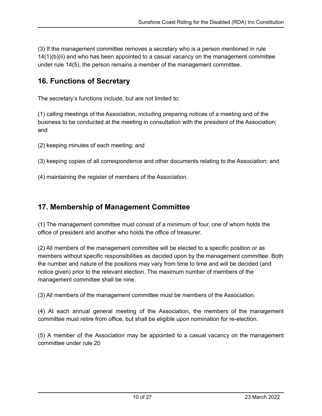(3) If the management committee removes a secretary who is a person mentioned in rule 14(1)(b)(ii) and who has been appointed to a casual vacancy on the management committee under rule 14(5), the person remains a member of the management committee.

### **16. Functions of Secretary**

The secretary's functions include, but are not limited to:

(1) calling meetings of the Association, including preparing notices of a meeting and of the business to be conducted at the meeting in consultation with the president of the Association; and

(2) keeping minutes of each meeting; and

(3) keeping copies of all correspondence and other documents relating to the Association; and

(4) maintaining the register of members of the Association.

### **17. Membership of Management Committee**

(1) The management committee must consist of a minimum of four, one of whom holds the office of president and another who holds the office of treasurer.

(2) All members of the management committee will be elected to a specific position or as members without specific responsibilities as decided upon by the management committee .Both the number and nature of the positions may vary from time to time and will be decided (and notice given) prior to the relevant election. The maximum number of members of the management committee shall be nine.

(3) All members of the management committee must be members of the Association.

(4) At each annual general meeting of the Association, the members of the management committee must retire from office, but shall be eligible upon nomination for re-election.

(5) A member of the Association may be appointed to a casual vacancy on the management committee under rule 20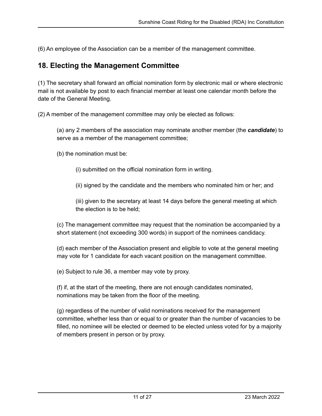(6) An employee of the Association can be a member of the management committee.

#### **18. Electing the Management Committee**

(1) The secretary shall forward an official nomination form by electronic mail or where electronic mail is not available by post to each financial member at least one calendar month before the date of the General Meeting.

(2) A member of the management committee may only be elected as follows:

(a) any 2 members of the association may nominate another member (the *candidate*) to serve as a member of the management committee;

(b) the nomination must be:

(i) submitted on the official nomination form in writing.

(ii) signed by the candidate and the members who nominated him or her; and

(iii) given to the secretary at least 14 days before the general meeting at which the election is to be held;

(c) The management committee may request that the nomination be accompanied by a short statement (not exceeding 300 words) in support of the nominees candidacy.

(d) each member of the Association present and eligible to vote at the general meeting may vote for 1 candidate for each vacant position on the management committee.

(e) Subject to rule 36, a member may vote by proxy.

(f) if, at the start of the meeting, there are not enough candidates nominated, nominations may be taken from the floor of the meeting.

(g) regardless of the number of valid nominations received for the management committee, whether less than or equal to or greater than the number of vacancies to be filled, no nominee will be elected or deemed to be elected unless voted for by a majority of members present in person or by proxy.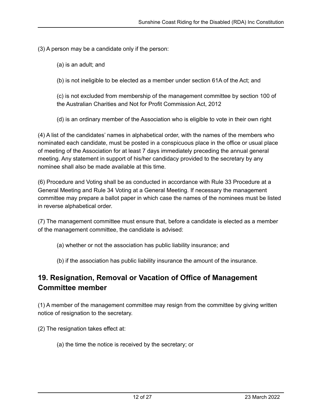(3) A person may be a candidate only if the person:

(a) is an adult; and

(b) is not ineligible to be elected as a member under section 61A of the Act; and

(c) is not excluded from membership of the management committee by section 100 of the Australian Charities and Not for Profit Commission Act, 2012

(d) is an ordinary member of the Association who is eligible to vote in their own right

(4) A list of the candidates' names in alphabetical order, with the names of the members who nominated each candidate, must be posted in a conspicuous place in the office or usual place of meeting of the Association for at least 7 days immediately preceding the annual general meeting. Any statement in support of his/her candidacy provided to the secretary by any nominee shall also be made available at this time.

(6) Procedure and Voting shall be as conducted in accordance with Rule 33 Procedure at a General Meeting and Rule 34 Voting at a General Meeting. If necessary the management committee may prepare a ballot paper in which case the names of the nominees must be listed in reverse alphabetical order.

(7) The management committee must ensure that, before a candidate is elected as a member of the management committee, the candidate is advised:

- (a) whether or not the association has public liability insurance; and
- (b) if the association has public liability insurance the amount of the insurance.

# **19. Resignation, Removal or Vacation of Office of Management Committee member**

(1) A member of the management committee may resign from the committee by giving written notice of resignation to the secretary.

(2) The resignation takes effect at:

(a) the time the notice is received by the secretary; or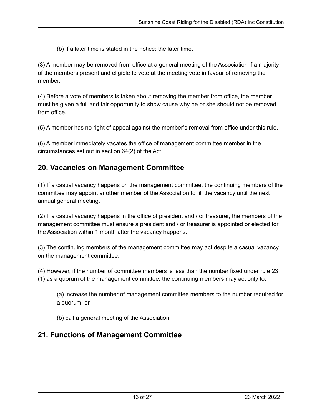(b) if a later time is stated in the notice: the later time.

(3) A member may be removed from office at a general meeting of the Association if a majority of the members present and eligible to vote at the meeting vote in favour of removing the member.

(4) Before a vote of members is taken about removing the member from office, the member must be given a full and fair opportunity to show cause why he or she should not be removed from office.

(5) A member has no right of appeal against the member's removal from office under this rule.

(6) A member immediately vacates the office of management committee member in the circumstances set out in section 64(2) of the Act.

### **20. Vacancies on Management Committee**

(1) If a casual vacancy happens on the management committee, the continuing members of the committee may appoint another member of the Association to fill the vacancy until the next annual general meeting.

(2) If a casual vacancy happens in the office of president and / or treasurer, the members of the management committee must ensure a president and / or treasurer is appointed or elected for the Association within 1 month after the vacancy happens.

(3) The continuing members of the management committee may act despite a casual vacancy on the management committee.

(4) However, if the number of committee members is less than the number fixed under rule 23 (1) as a quorum of the management committee, the continuing members may act only to:

(a) increase the number of management committee members to the number required for a quorum; or

(b) call a general meeting of the Association.

### **21. Functions of Management Committee**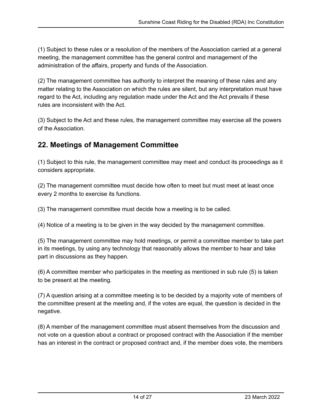(1) Subject to these rules or a resolution of the members of the Association carried at a general meeting, the management committee has the general control and management of the administration of the affairs, property and funds of the Association.

(2) The management committee has authority to interpret the meaning of these rules and any matter relating to the Association on which the rules are silent, but any interpretation must have regard to the Act, including any regulation made under the Act and the Act prevails if these rules are inconsistent with the Act.

(3) Subject to the Act and these rules, the management committee may exercise all the powers of the Association.

# **22. Meetings of Management Committee**

(1) Subject to this rule, the management committee may meet and conduct its proceedings as it considers appropriate.

(2) The management committee must decide how often to meet but must meet at least once every 2 months to exercise its functions.

(3) The management committee must decide how a meeting is to be called.

(4) Notice of a meeting is to be given in the way decided by the management committee.

(5) The management committee may hold meetings, or permit a committee member to take part in its meetings, by using any technology that reasonably allows the member to hear and take part in discussions as they happen.

(6) A committee member who participates in the meeting as mentioned in sub rule (5) is taken to be present at the meeting.

(7) A question arising at a committee meeting is to be decided by a majority vote of members of the committee present at the meeting and, if the votes are equal, the question is decided in the negative.

(8) A member of the management committee must absent themselves from the discussion and not vote on a question about a contract or proposed contract with the Association if the member has an interest in the contract or proposed contract and, if the member does vote, the members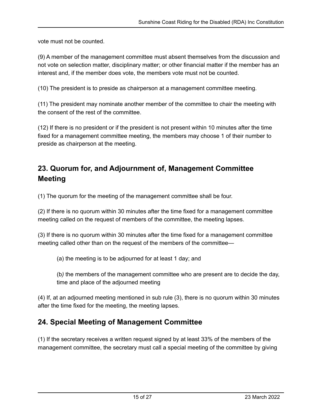vote must not be counted.

(9) A member of the management committee must absent themselves from the discussion and not vote on selection matter, disciplinary matter; or other financial matter if the member has an interest and, if the member does vote, the members vote must not be counted.

(10) The president is to preside as chairperson at a management committee meeting.

(11) The president may nominate another member of the committee to chair the meeting with the consent of the rest of the committee.

(12) If there is no president or if the president is not present within 10 minutes after the time fixed for a management committee meeting, the members may choose 1 of their number to preside as chairperson at the meeting.

# **23. Quorum for, and Adjournment of, Management Committee Meeting**

(1) The quorum for the meeting of the management committee shall be four.

(2) If there is no quorum within 30 minutes after the time fixed for a management committee meeting called on the request of members of the committee, the meeting lapses.

(3) If there is no quorum within 30 minutes after the time fixed for a management committee meeting called other than on the request of the members of the committee—

(a) the meeting is to be adjourned for at least 1 day; and

(b*)* the members of the management committee who are present are to decide the day, time and place of the adjourned meeting

(4) If, at an adjourned meeting mentioned in sub rule (3), there is no quorum within 30 minutes after the time fixed for the meeting, the meeting lapses.

### **24. Special Meeting of Management Committee**

(1) If the secretary receives a written request signed by at least 33% of the members of the management committee, the secretary must call a special meeting of the committee by giving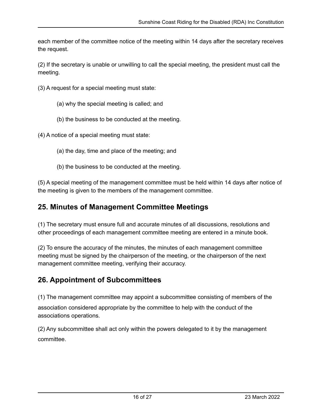each member of the committee notice of the meeting within 14 days after the secretary receives the request.

(2) If the secretary is unable or unwilling to call the special meeting, the president must call the meeting.

- (3) A request for a special meeting must state:
	- (a) why the special meeting is called; and
	- (b) the business to be conducted at the meeting.

(4) A notice of a special meeting must state:

- (a) the day, time and place of the meeting; and
- (b) the business to be conducted at the meeting.

(5) A special meeting of the management committee must be held within 14 days after notice of the meeting is given to the members of the management committee.

### **25. Minutes of Management Committee Meetings**

(1) The secretary must ensure full and accurate minutes of all discussions, resolutions and other proceedings of each management committee meeting are entered in a minute book.

(2) To ensure the accuracy of the minutes, the minutes of each management committee meeting must be signed by the chairperson of the meeting, or the chairperson of the next management committee meeting, verifying their accuracy.

### **26. Appointment of Subcommittees**

(1) The management committee may appoint a subcommittee consisting of members of the association considered appropriate by the committee to help with the conduct of the associations operations*.*

(2) Any subcommittee shall act only within the powers delegated to it by the management committee.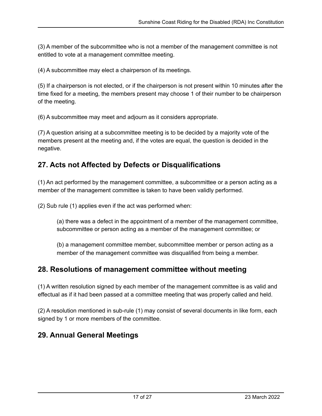(3) A member of the subcommittee who is not a member of the management committee is not entitled to vote at a management committee meeting.

(4) A subcommittee may elect a chairperson of its meetings.

(5) If a chairperson is not elected, or if the chairperson is not present within 10 minutes after the time fixed for a meeting, the members present may choose 1 of their number to be chairperson of the meeting.

(6) A subcommittee may meet and adjourn as it considers appropriate.

(7) A question arising at a subcommittee meeting is to be decided by a majority vote of the members present at the meeting and, if the votes are equal, the question is decided in the negative.

### **27. Acts not Affected by Defects or Disqualifications**

(1) An act performed by the management committee, a subcommittee or a person acting as a member of the management committee is taken to have been validly performed.

(2) Sub rule (1) applies even if the act was performed when:

(a) there was a defect in the appointment of a member of the management committee, subcommittee or person acting as a member of the management committee; or

(b) a management committee member, subcommittee member or person acting as a member of the management committee was disqualified from being a member.

### **28. Resolutions of management committee without meeting**

(1) A written resolution signed by each member of the management committee is as valid and effectual as if it had been passed at a committee meeting that was properly called and held.

(2) A resolution mentioned in sub-rule (1) may consist of several documents in like form, each signed by 1 or more members of the committee.

### **29. Annual General Meetings**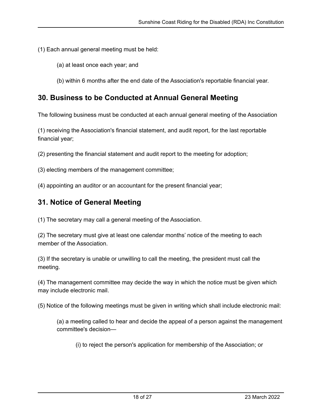(1) Each annual general meeting must be held:

- (a) at least once each year; and
- (b) within 6 months after the end date of the Association's reportable financial year.

### **30. Business to be Conducted at Annual General Meeting**

The following business must be conducted at each annual general meeting of the Association

(1) receiving the Association's financial statement, and audit report, for the last reportable financial year;

(2) presenting the financial statement and audit report to the meeting for adoption;

(3) electing members of the management committee;

(4) appointing an auditor or an accountant for the present financial year;

#### **31. Notice of General Meeting**

(1) The secretary may call a general meeting of the Association.

(2) The secretary must give at least one calendar months' notice of the meeting to each member of the Association.

(3) If the secretary is unable or unwilling to call the meeting, the president must call the meeting.

(4) The management committee may decide the way in which the notice must be given which may include electronic mail.

(5) Notice of the following meetings must be given in writing which shall include electronic mail:

(a) a meeting called to hear and decide the appeal of a person against the management committee's decision—

(i) to reject the person's application for membership of the Association; or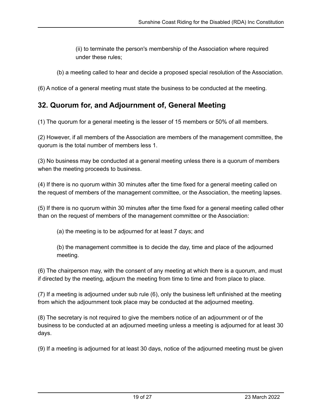(ii) to terminate the person's membership of the Association where required under these rules;

(b) a meeting called to hear and decide a proposed special resolution of the Association.

(6) A notice of a general meeting must state the business to be conducted at the meeting.

### **32. Quorum for, and Adjournment of, General Meeting**

(1) The quorum for a general meeting is the lesser of 15 members or 50% of all members.

(2) However, if all members of the Association are members of the management committee, the quorum is the total number of members less 1.

(3) No business may be conducted at a general meeting unless there is a quorum of members when the meeting proceeds to business.

(4) If there is no quorum within 30 minutes after the time fixed for a general meeting called on the request of members of the management committee, or the Association, the meeting lapses.

(5) If there is no quorum within 30 minutes after the time fixed for a general meeting called other than on the request of members of the management committee or the Association:

(a) the meeting is to be adjourned for at least 7 days; and

(b) the management committee is to decide the day, time and place of the adjourned meeting.

(6) The chairperson may, with the consent of any meeting at which there is a quorum, and must if directed by the meeting, adjourn the meeting from time to time and from place to place.

(7) If a meeting is adjourned under sub rule (6), only the business left unfinished at the meeting from which the adjournment took place may be conducted at the adjourned meeting.

(8) The secretary is not required to give the members notice of an adjournment or of the business to be conducted at an adjourned meeting unless a meeting is adjourned for at least 30 days.

(9) If a meeting is adjourned for at least 30 days, notice of the adjourned meeting must be given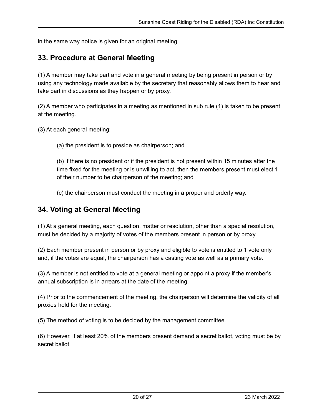in the same way notice is given for an original meeting.

#### **33. Procedure at General Meeting**

(1) A member may take part and vote in a general meeting by being present in person or by using any technology made available by the secretary that reasonably allows them to hear and take part in discussions as they happen or by proxy.

(2) A member who participates in a meeting as mentioned in sub rule (1) is taken to be present at the meeting.

(3) At each general meeting:

(a) the president is to preside as chairperson; and

(b) if there is no president or if the president is not present within 15 minutes after the time fixed for the meeting or is unwilling to act, then the members present must elect 1 of their number to be chairperson of the meeting; and

(c) the chairperson must conduct the meeting in a proper and orderly way.

#### **34. Voting at General Meeting**

(1) At a general meeting, each question, matter or resolution, other than a special resolution, must be decided by a majority of votes of the members present in person or by proxy.

(2) Each member present in person or by proxy and eligible to vote is entitled to 1 vote only and, if the votes are equal, the chairperson has a casting vote as well as a primary vote.

(3) A member is not entitled to vote at a general meeting or appoint a proxy if the member's annual subscription is in arrears at the date of the meeting.

(4) Prior to the commencement of the meeting, the chairperson will determine the validity of all proxies held for the meeting.

(5) The method of voting is to be decided by the management committee.

(6) However, if at least 20% of the members present demand a secret ballot, voting must be by secret ballot.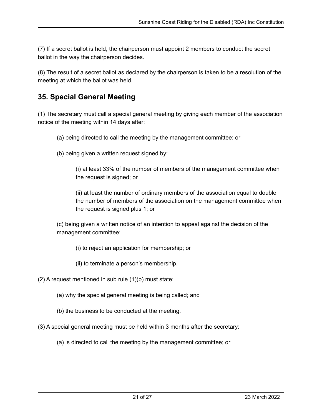(7) If a secret ballot is held, the chairperson must appoint 2 members to conduct the secret ballot in the way the chairperson decides.

(8) The result of a secret ballot as declared by the chairperson is taken to be a resolution of the meeting at which the ballot was held.

## **35. Special General Meeting**

(1) The secretary must call a special general meeting by giving each member of the association notice of the meeting within 14 days after:

- (a) being directed to call the meeting by the management committee; or
- (b) being given a written request signed by:

(i) at least 33% of the number of members of the management committee when the request is signed; or

(ii) at least the number of ordinary members of the association equal to double the number of members of the association on the management committee when the request is signed plus 1; or

(c) being given a written notice of an intention to appeal against the decision of the management committee:

(i) to reject an application for membership; or

(ii) to terminate a person's membership.

 $(2)$  A request mentioned in sub rule  $(1)(b)$  must state:

- (a) why the special general meeting is being called; and
- (b) the business to be conducted at the meeting.
- (3) A special general meeting must be held within 3 months after the secretary:
	- (a) is directed to call the meeting by the management committee; or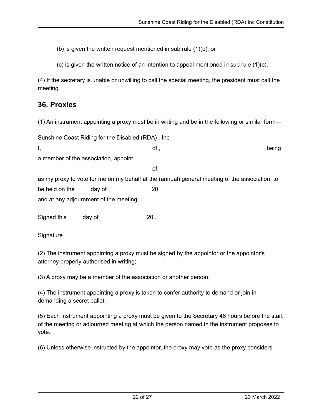(b) is given the written request mentioned in sub rule (1)(b); or

(c) is given the written notice of an intention to appeal mentioned in sub rule (1)(c).

(4) If the secretary is unable or unwilling to call the special meeting, the president must call the meeting.

### **36. Proxies**

(1) An instrument appointing a proxy must be in writing and be in the following or similar form—

| Sunshine Coast Riding for the Disabled (RDA). Inc.                                             |        |     |       |
|------------------------------------------------------------------------------------------------|--------|-----|-------|
| Ι,                                                                                             |        | of, | being |
| a member of the association, appoint                                                           |        |     |       |
|                                                                                                |        | οf  |       |
| as my proxy to vote for me on my behalf at the (annual) general meeting of the association, to |        |     |       |
| be held on the                                                                                 | day of | 20  |       |
| and at any adjournment of the meeting.                                                         |        |     |       |
| Signed this                                                                                    | day of | 20. |       |

**Signature** 

(2) The instrument appointing a proxy must be signed by the appointor or the appointor's attorney properly authorised in writing;

(3) A proxy may be a member of the association or another person.

(4) The instrument appointing a proxy is taken to confer authority to demand or join in demanding a secret ballot.

(5) Each instrument appointing a proxy must be given to the Secretary 48 hours before the start of the meeting or adjourned meeting at which the person named in the instrument proposes to vote.

(6) Unless otherwise instructed by the appointor, the proxy may vote as the proxy considers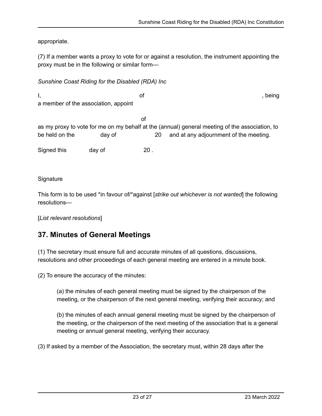appropriate.

(7) If a member wants a proxy to vote for or against a resolution, the instrument appointing the proxy must be in the following or similar form—

#### *Sunshine Coast Riding for the Disabled (RDA) Inc*

I, and the set of the set of the set of the set of the set of the set of the set of the set of the set of the set of the set of the set of the set of the set of the set of the set of the set of the set of the set of the se a member of the association, appoint of

as my proxy to vote for me on my behalf at the (annual) general meeting of the association, to be held on the day of 20 and at any adjournment of the meeting.

Signed this day of 20.

**Signature** 

This form is to be used \*in favour of/\*against [*strike out whichever is not wanted*] the following resolutions—

[*List relevant resolutions*]

### **37. Minutes of General Meetings**

(1) The secretary must ensure full and accurate minutes of all questions, discussions, resolutions and other proceedings of each general meeting are entered in a minute book.

(2) To ensure the accuracy of the minutes:

(a) the minutes of each general meeting must be signed by the chairperson of the meeting, or the chairperson of the next general meeting, verifying their accuracy; and

(b) the minutes of each annual general meeting must be signed by the chairperson of the meeting, or the chairperson of the next meeting of the association that is a general meeting or annual general meeting, verifying their accuracy.

(3) If asked by a member of the Association, the secretary must, within 28 days after the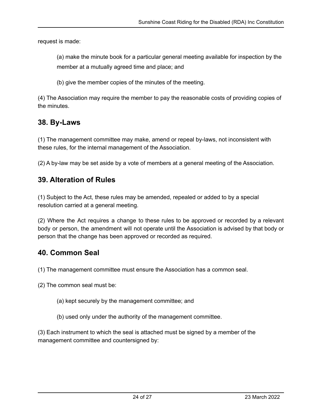request is made:

(a) make the minute book for a particular general meeting available for inspection by the member at a mutually agreed time and place; and

(b) give the member copies of the minutes of the meeting.

(4) The Association may require the member to pay the reasonable costs of providing copies of the minutes.

### **38. By-Laws**

(1) The management committee may make, amend or repeal by-laws, not inconsistent with these rules, for the internal management of the Association.

(2) A by-law may be set aside by a vote of members at a general meeting of the Association.

### **39. Alteration of Rules**

(1) Subject to the Act, these rules may be amended, repealed or added to by a special resolution carried at a general meeting.

(2) Where the Act requires a change to these rules to be approved or recorded by a relevant body or person, the amendment will not operate until the Association is advised by that body or person that the change has been approved or recorded as required.

#### **40. Common Seal**

(1) The management committee must ensure the Association has a common seal.

(2) The common seal must be:

- (a) kept securely by the management committee; and
- (b) used only under the authority of the management committee.

(3) Each instrument to which the seal is attached must be signed by a member of the management committee and countersigned by: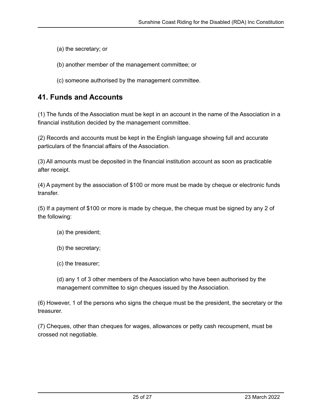(a) the secretary; or

(b) another member of the management committee; or

(c) someone authorised by the management committee.

### **41. Funds and Accounts**

(1) The funds of the Association must be kept in an account in the name of the Association in a financial institution decided by the management committee.

(2) Records and accounts must be kept in the English language showing full and accurate particulars of the financial affairs of the Association.

(3) All amounts must be deposited in the financial institution account as soon as practicable after receipt.

(4) A payment by the association of \$100 or more must be made by cheque or electronic funds transfer.

(5) If a payment of \$100 or more is made by cheque, the cheque must be signed by any 2 of the following:

(a) the president;

(b) the secretary;

(c) the treasurer;

(d) any 1 of 3 other members of the Association who have been authorised by the management committee to sign cheques issued by the Association.

(6) However, 1 of the persons who signs the cheque must be the president, the secretary or the treasurer.

(7) Cheques, other than cheques for wages, allowances or petty cash recoupment, must be crossed not negotiable.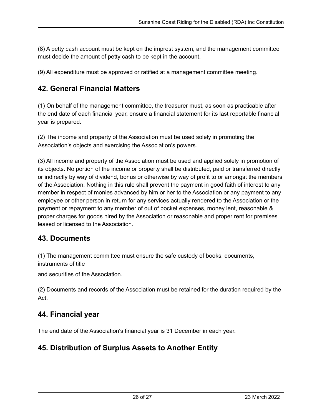(8) A petty cash account must be kept on the imprest system, and the management committee must decide the amount of petty cash to be kept in the account.

(9) All expenditure must be approved or ratified at a management committee meeting.

### **42. General Financial Matters**

(1) On behalf of the management committee, the treasurer must, as soon as practicable after the end date of each financial year, ensure a financial statement for its last reportable financial year is prepared.

(2) The income and property of the Association must be used solely in promoting the Association's objects and exercising the Association's powers.

(3) All income and property of the Association must be used and applied solely in promotion of its objects. No portion of the income or property shall be distributed, paid or transferred directly or indirectly by way of dividend, bonus or otherwise by way of profit to or amongst the members of the Association. Nothing in this rule shall prevent the payment in good faith of interest to any member in respect of monies advanced by him or her to the Association or any payment to any employee or other person in return for any services actually rendered to the Association or the payment or repayment to any member of out of pocket expenses, money lent, reasonable & proper charges for goods hired by the Association or reasonable and proper rent for premises leased or licensed to the Association.

### **43. Documents**

(1) The management committee must ensure the safe custody of books, documents, instruments of title

and securities of the Association.

(2) Documents and records of the Association must be retained for the duration required by the Act.

### **44. Financial year**

The end date of the Association's financial year is 31 December in each year.

### **45. Distribution of Surplus Assets to Another Entity**